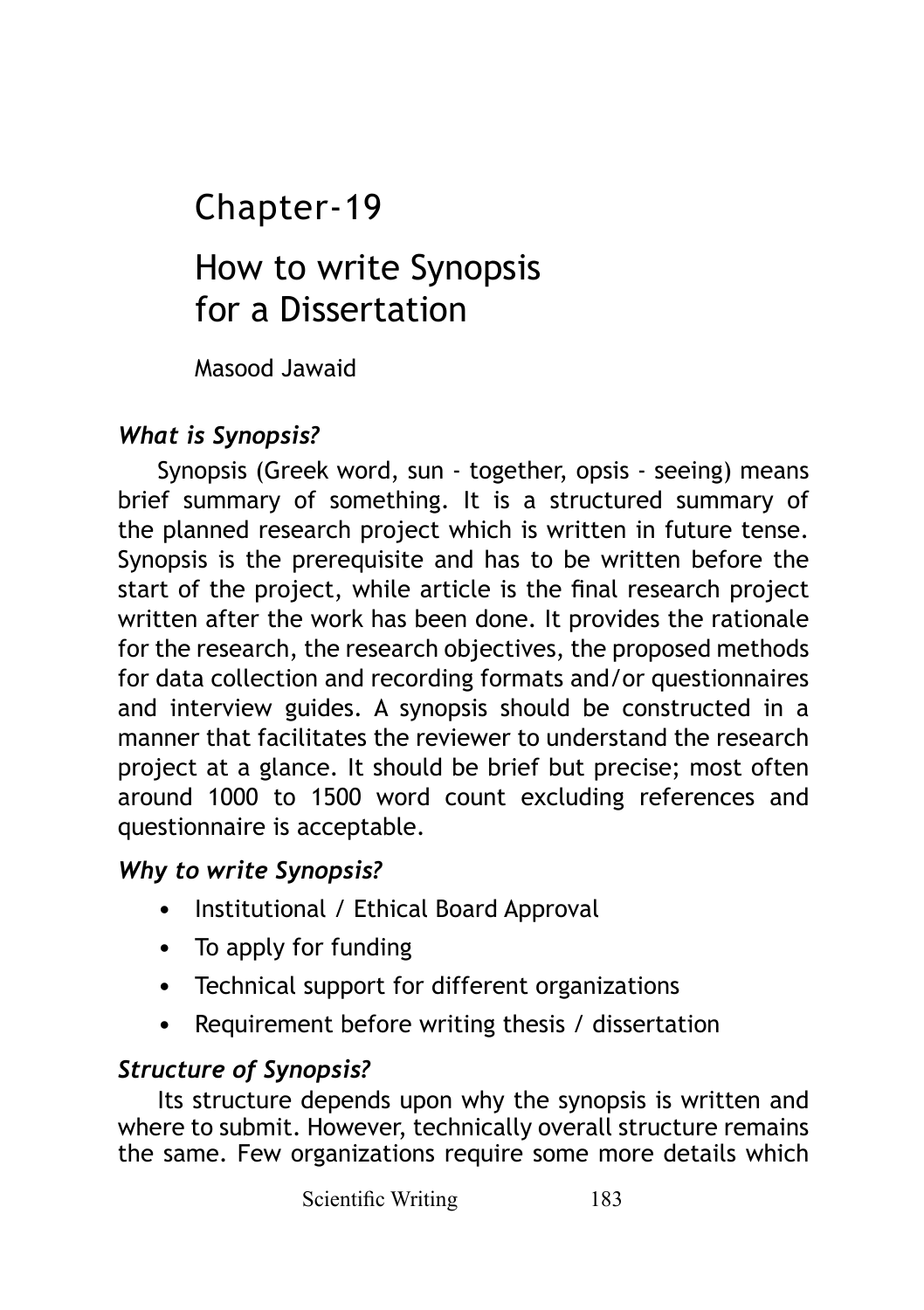# Chapter-19

# How to write Synopsis for a Dissertation

Masood Jawaid

# *What is Synopsis?*

Synopsis (Greek word, sun - together, opsis - seeing) means brief summary of something. It is a structured summary of the planned research project which is written in future tense. Synopsis is the prerequisite and has to be written before the start of the project, while article is the final research project written after the work has been done. It provides the rationale for the research, the research objectives, the proposed methods for data collection and recording formats and/or questionnaires and interview guides. A synopsis should be constructed in a manner that facilitates the reviewer to understand the research project at a glance. It should be brief but precise; most often around 1000 to 1500 word count excluding references and questionnaire is acceptable.

# *Why to write Synopsis?*

- Institutional / Ethical Board Approval
- To apply for funding
- Technical support for different organizations
- Requirement before writing thesis / dissertation

# *Structure of Synopsis?*

Its structure depends upon why the synopsis is written and where to submit. However, technically overall structure remains the same. Few organizations require some more details which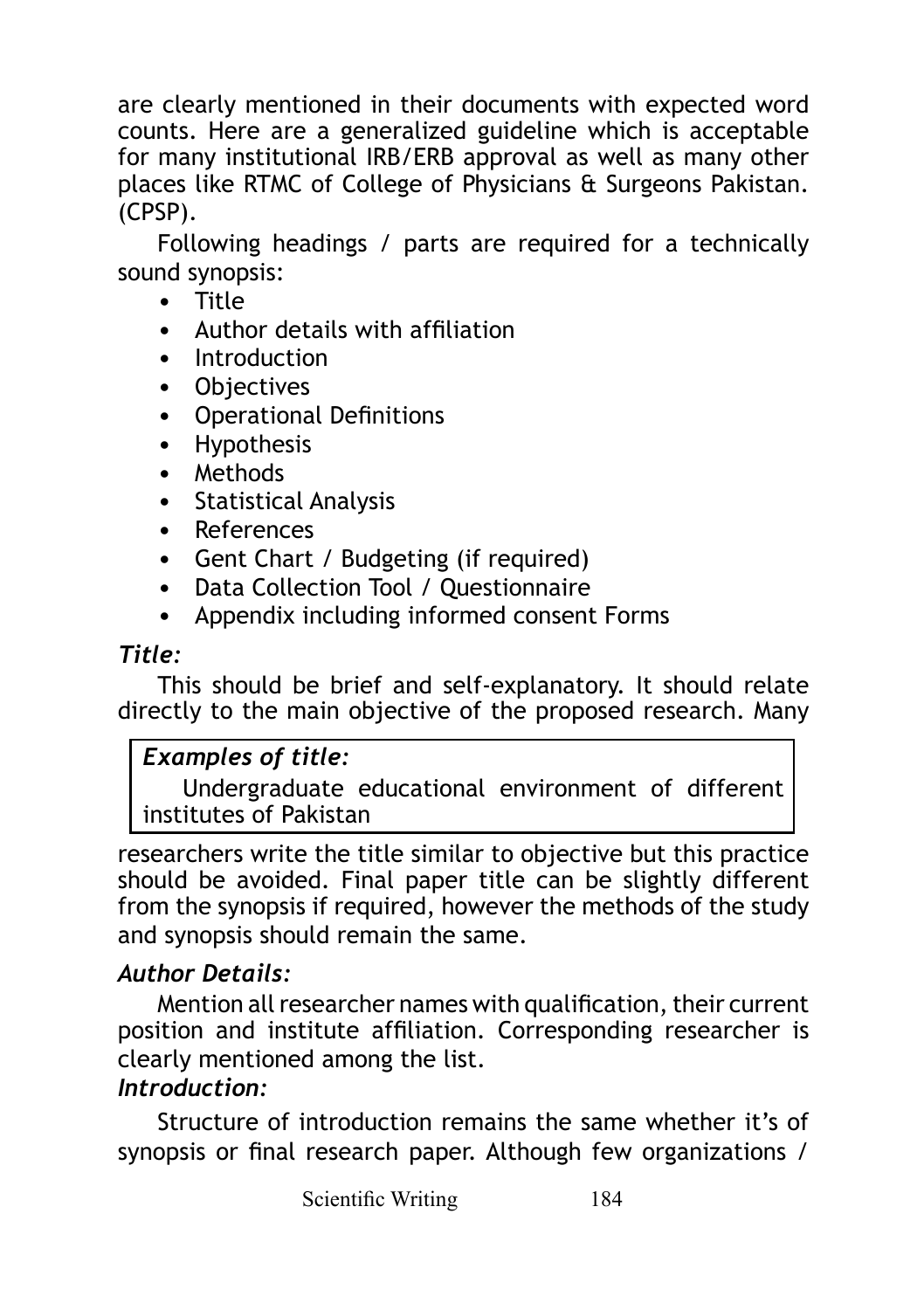are clearly mentioned in their documents with expected word counts. Here are a generalized guideline which is acceptable for many institutional IRB/ERB approval as well as many other places like RTMC of College of Physicians & Surgeons Pakistan. (CPSP).

Following headings / parts are required for a technically sound synopsis:

- Title
- Author details with affiliation
- Introduction
- Objectives
- Operational Definitions
- Hypothesis
- Methods
- Statistical Analysis
- References
- Gent Chart / Budgeting (if required)
- Data Collection Tool / Questionnaire
- Appendix including informed consent Forms

#### *Title:*

This should be brief and self-explanatory. It should relate directly to the main objective of the proposed research. Many

# *Examples of title:*

Undergraduate educational environment of different institutes of Pakistan

researchers write the title similar to objective but this practice should be avoided. Final paper title can be slightly different from the synopsis if required, however the methods of the study and synopsis should remain the same.

# *Author Details:*

Mention all researcher names with qualification, their current position and institute affiliation. Corresponding researcher is clearly mentioned among the list.

#### *Introduction:*

Structure of introduction remains the same whether it's of synopsis or final research paper. Although few organizations /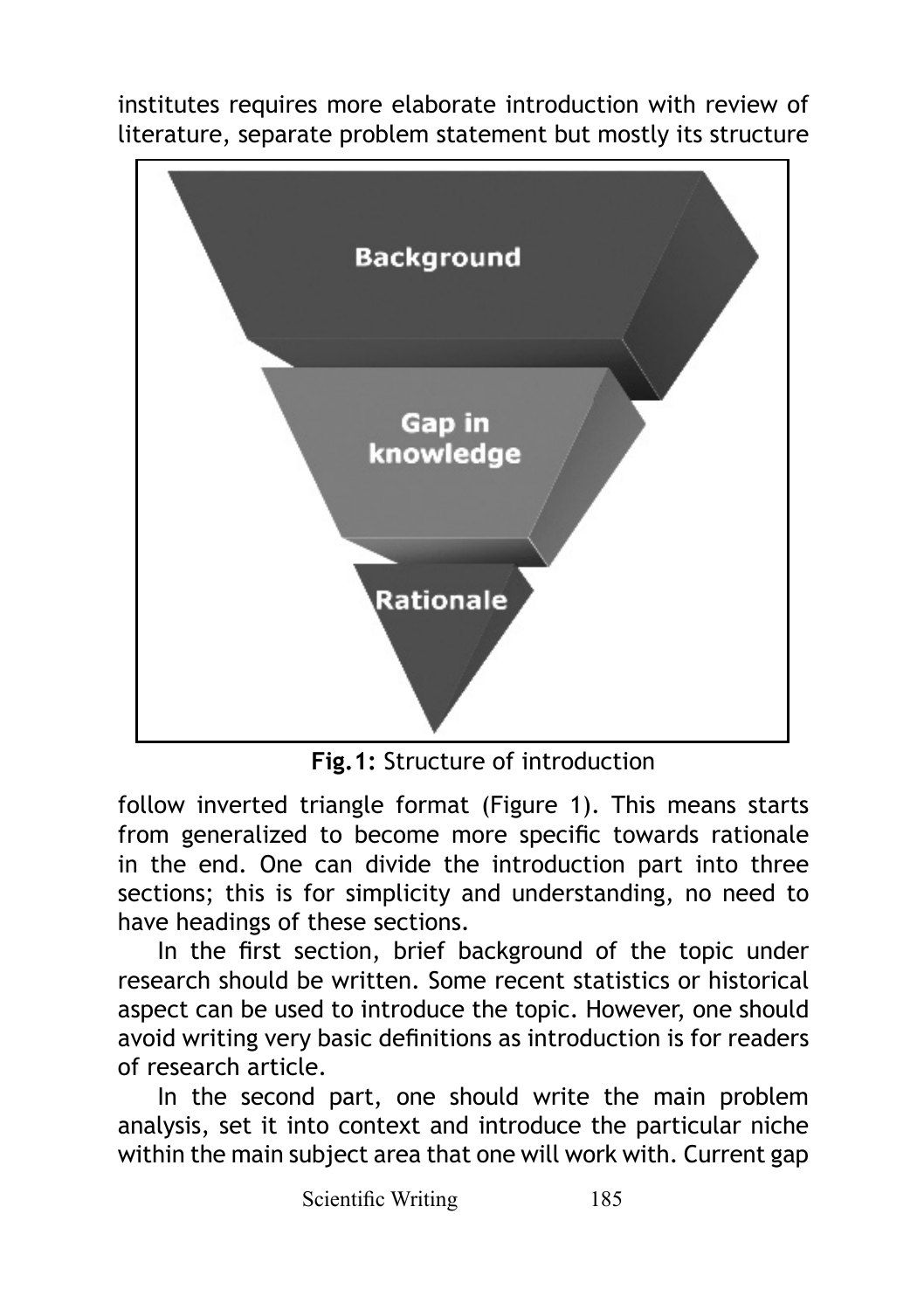institutes requires more elaborate introduction with review of literature, separate problem statement but mostly its structure



**Fig.1:** Structure of introduction

follow inverted triangle format (Figure 1). This means starts from generalized to become more specific towards rationale in the end. One can divide the introduction part into three sections; this is for simplicity and understanding, no need to have headings of these sections.

In the first section, brief background of the topic under research should be written. Some recent statistics or historical aspect can be used to introduce the topic. However, one should avoid writing very basic definitions as introduction is for readers of research article.

In the second part, one should write the main problem analysis, set it into context and introduce the particular niche within the main subject area that one will work with. Current gap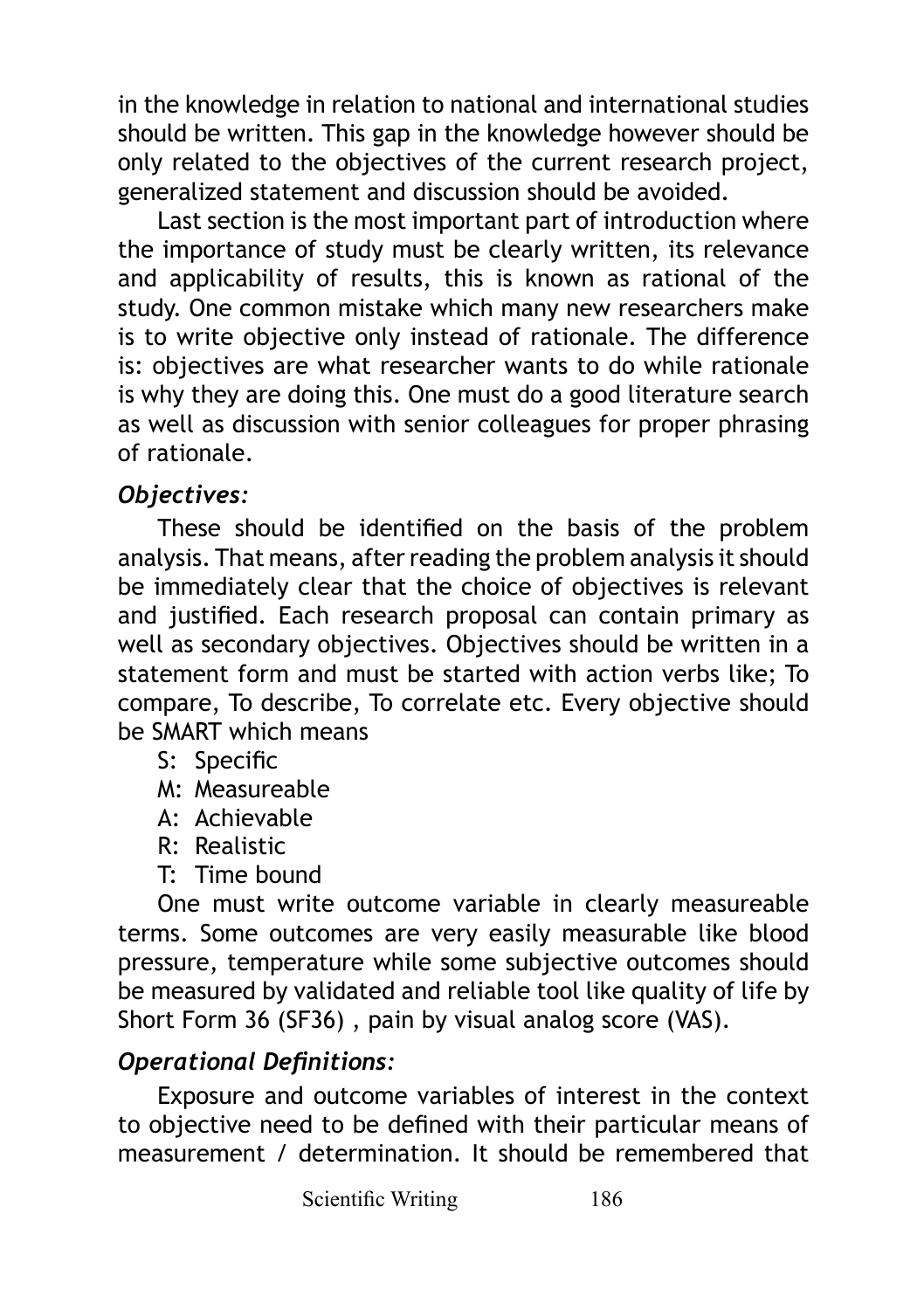in the knowledge in relation to national and international studies should be written. This gap in the knowledge however should be only related to the objectives of the current research project, generalized statement and discussion should be avoided.

Last section is the most important part of introduction where the importance of study must be clearly written, its relevance and applicability of results, this is known as rational of the study. One common mistake which many new researchers make is to write objective only instead of rationale. The difference is: objectives are what researcher wants to do while rationale is why they are doing this. One must do a good literature search as well as discussion with senior colleagues for proper phrasing of rationale.

# *Objectives:*

These should be identified on the basis of the problem analysis. That means, after reading the problem analysis it should be immediately clear that the choice of objectives is relevant and justified. Each research proposal can contain primary as well as secondary objectives. Objectives should be written in a statement form and must be started with action verbs like; To compare, To describe, To correlate etc. Every objective should be SMART which means

S: Specific

M: Measureable

A: Achievable

R: Realistic

T: Time bound

One must write outcome variable in clearly measureable terms. Some outcomes are very easily measurable like blood pressure, temperature while some subjective outcomes should be measured by validated and reliable tool like quality of life by Short Form 36 (SF36) , pain by visual analog score (VAS).

# *Operational Definitions:*

Exposure and outcome variables of interest in the context to objective need to be defined with their particular means of measurement / determination. It should be remembered that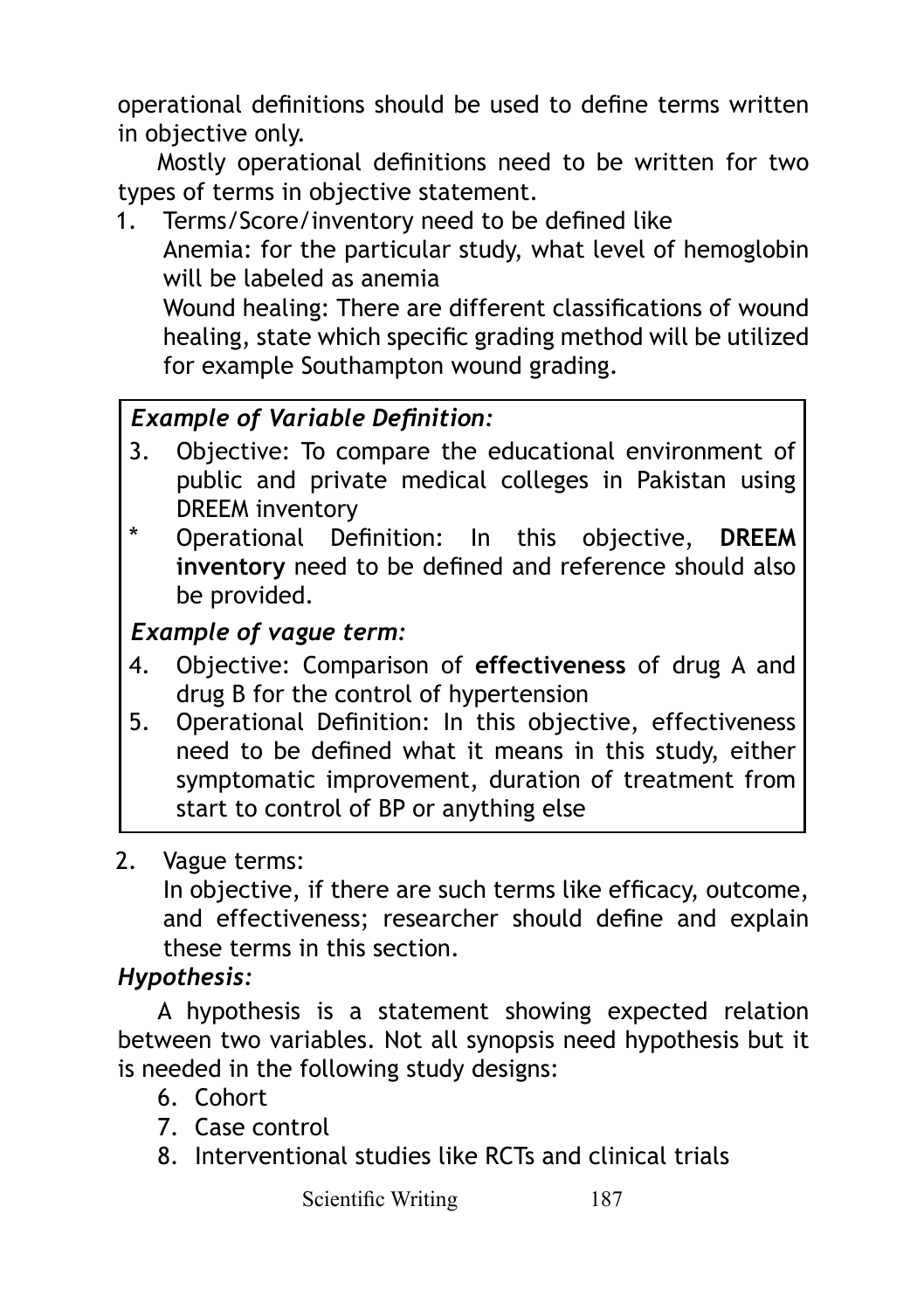operational definitions should be used to define terms written in objective only.

Mostly operational definitions need to be written for two types of terms in objective statement.

1. Terms/Score/inventory need to be defined like Anemia: for the particular study, what level of hemoglobin will be labeled as anemia

Wound healing: There are different classifications of wound healing, state which specific grading method will be utilized for example Southampton wound grading.

# *Example of Variable Definition:*

- 3. Objective: To compare the educational environment of public and private medical colleges in Pakistan using DREEM inventory
- \* Operational Definition: In this objective, **DREEM inventory** need to be defined and reference should also be provided.

# *Example of vague term:*

- 4. Objective: Comparison of **effectiveness** of drug A and drug B for the control of hypertension
- 5. Operational Definition: In this objective, effectiveness need to be defined what it means in this study, either symptomatic improvement, duration of treatment from start to control of BP or anything else

#### 2. Vague terms:

In objective, if there are such terms like efficacy, outcome, and effectiveness; researcher should define and explain these terms in this section.

# *Hypothesis:*

A hypothesis is a statement showing expected relation between two variables. Not all synopsis need hypothesis but it is needed in the following study designs:

- 6. Cohort
- 7. Case control
- 8. Interventional studies like RCTs and clinical trials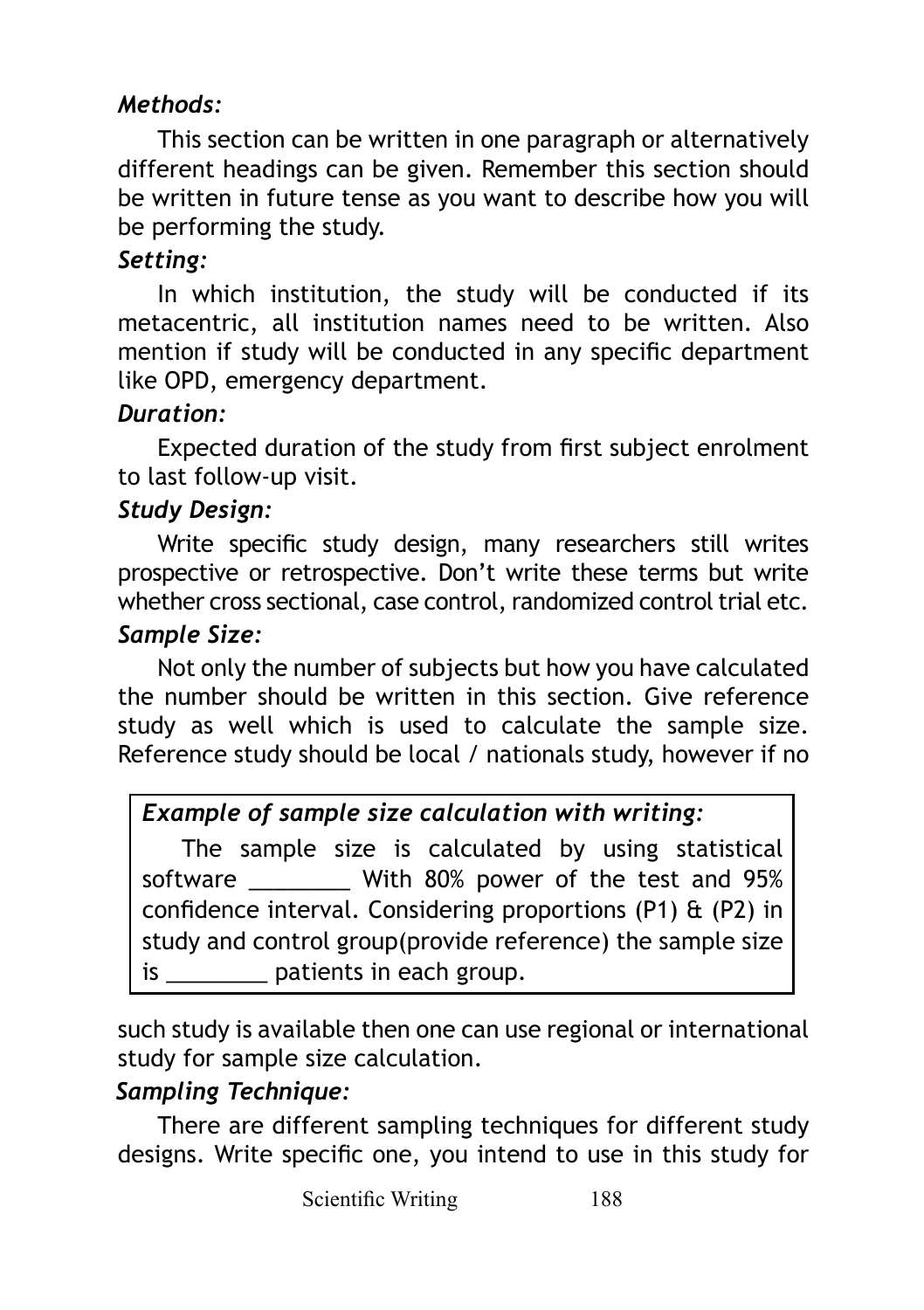# *Methods:*

This section can be written in one paragraph or alternatively different headings can be given. Remember this section should be written in future tense as you want to describe how you will be performing the study.

#### *Setting:*

In which institution, the study will be conducted if its metacentric, all institution names need to be written. Also mention if study will be conducted in any specific department like OPD, emergency department.

#### *Duration:*

Expected duration of the study from first subject enrolment to last follow-up visit.

#### *Study Design:*

Write specific study design, many researchers still writes prospective or retrospective. Don't write these terms but write whether cross sectional, case control, randomized control trial etc.

#### *Sample Size:*

Not only the number of subjects but how you have calculated the number should be written in this section. Give reference study as well which is used to calculate the sample size. Reference study should be local / nationals study, however if no

#### *Example of sample size calculation with writing:*

The sample size is calculated by using statistical software \_\_\_\_\_\_\_\_ With 80% power of the test and 95% confidence interval. Considering proportions (P1) & (P2) in study and control group(provide reference) the sample size is batients in each group.

such study is available then one can use regional or international study for sample size calculation.

#### *Sampling Technique:*

There are different sampling techniques for different study designs. Write specific one, you intend to use in this study for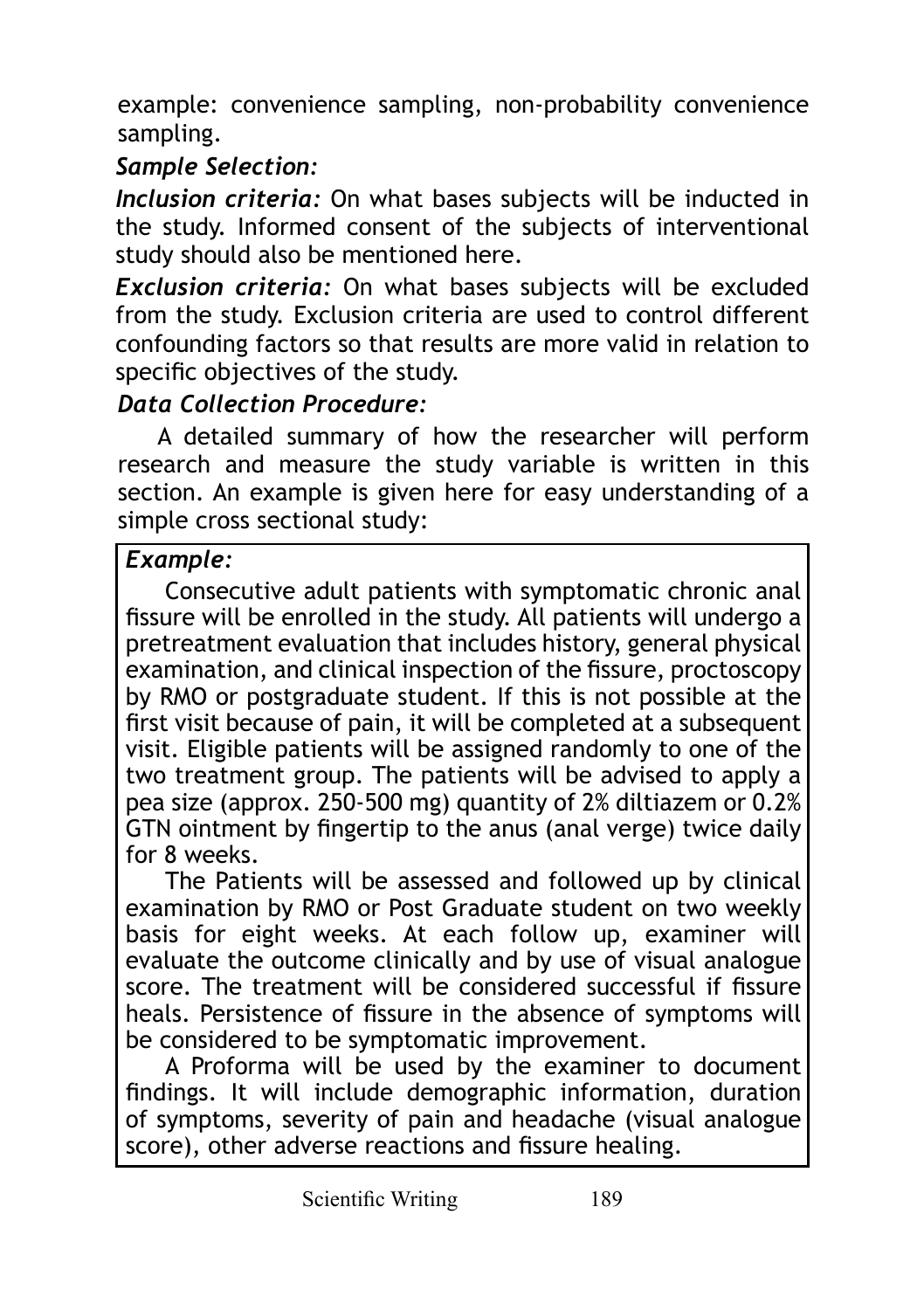example: convenience sampling, non-probability convenience sampling.

# *Sample Selection:*

*Inclusion criteria:* On what bases subjects will be inducted in the study. Informed consent of the subjects of interventional study should also be mentioned here.

*Exclusion criteria:* On what bases subjects will be excluded from the study. Exclusion criteria are used to control different confounding factors so that results are more valid in relation to specific objectives of the study.

# *Data Collection Procedure:*

A detailed summary of how the researcher will perform research and measure the study variable is written in this section. An example is given here for easy understanding of a simple cross sectional study:

# *Example:*

Consecutive adult patients with symptomatic chronic anal fissure will be enrolled in the study. All patients will undergo a pretreatment evaluation that includes history, general physical examination, and clinical inspection of the fissure, proctoscopy by RMO or postgraduate student. If this is not possible at the first visit because of pain, it will be completed at a subsequent visit. Eligible patients will be assigned randomly to one of the two treatment group. The patients will be advised to apply a pea size (approx. 250-500 mg) quantity of 2% diltiazem or 0.2% GTN ointment by fingertip to the anus (anal verge) twice daily for 8 weeks.

The Patients will be assessed and followed up by clinical examination by RMO or Post Graduate student on two weekly basis for eight weeks. At each follow up, examiner will evaluate the outcome clinically and by use of visual analogue score. The treatment will be considered successful if fissure heals. Persistence of fissure in the absence of symptoms will be considered to be symptomatic improvement.

A Proforma will be used by the examiner to document findings. It will include demographic information, duration of symptoms, severity of pain and headache (visual analogue score), other adverse reactions and fissure healing.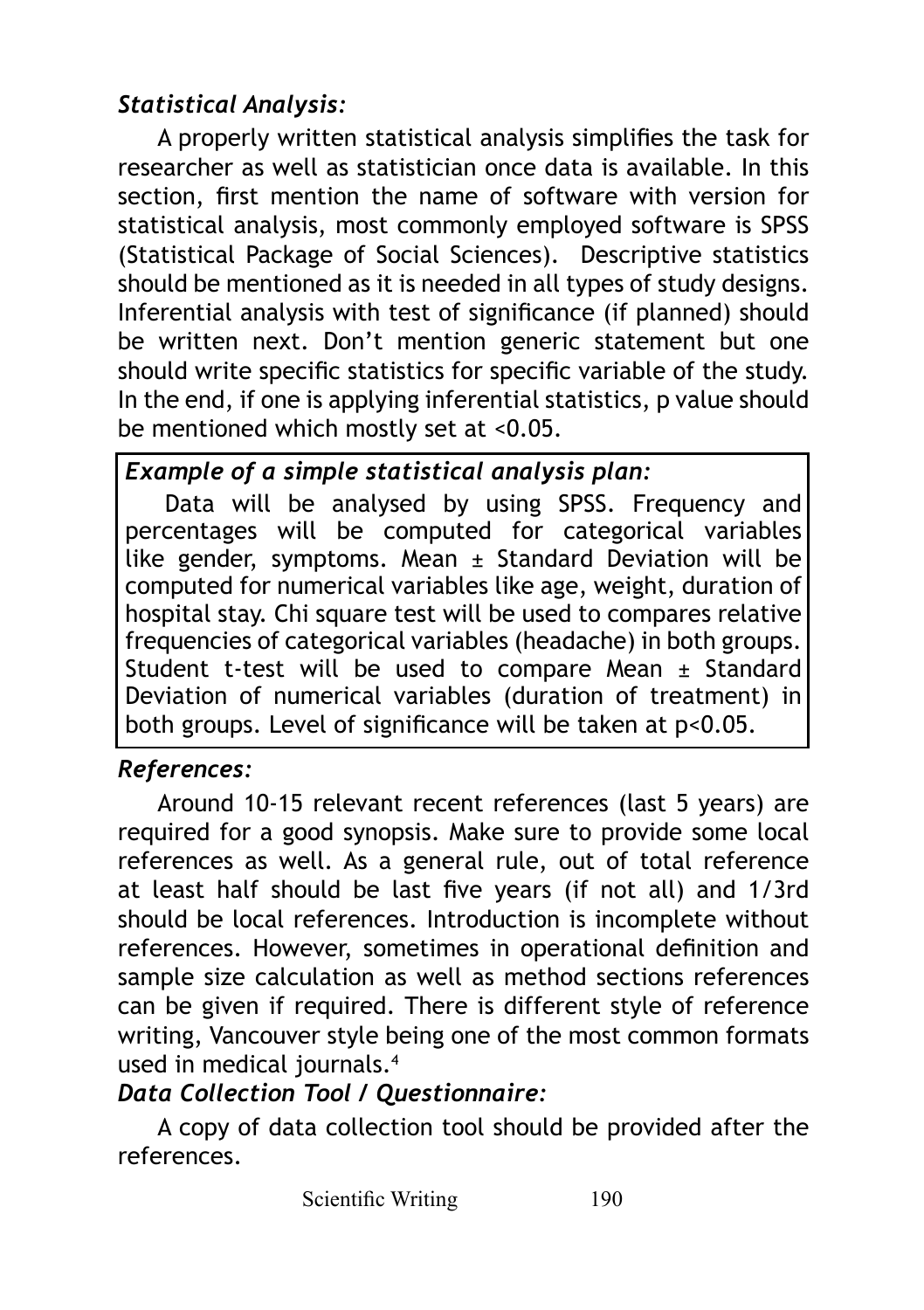# *Statistical Analysis:*

A properly written statistical analysis simplifies the task for researcher as well as statistician once data is available. In this section, first mention the name of software with version for statistical analysis, most commonly employed software is SPSS (Statistical Package of Social Sciences). Descriptive statistics should be mentioned as it is needed in all types of study designs. Inferential analysis with test of significance (if planned) should be written next. Don't mention generic statement but one should write specific statistics for specific variable of the study. In the end, if one is applying inferential statistics, p value should be mentioned which mostly set at <0.05.

# *Example of a simple statistical analysis plan:*

Data will be analysed by using SPSS. Frequency and percentages will be computed for categorical variables like gender, symptoms. Mean  $\pm$  Standard Deviation will be computed for numerical variables like age, weight, duration of hospital stay. Chi square test will be used to compares relative frequencies of categorical variables (headache) in both groups. Student t-test will be used to compare Mean  $\pm$  Standard Deviation of numerical variables (duration of treatment) in both groups. Level of significance will be taken at p<0.05.

# *References:*

Around 10-15 relevant recent references (last 5 years) are required for a good synopsis. Make sure to provide some local references as well. As a general rule, out of total reference at least half should be last five years (if not all) and 1/3rd should be local references. Introduction is incomplete without references. However, sometimes in operational definition and sample size calculation as well as method sections references can be given if required. There is different style of reference writing, Vancouver style being one of the most common formats used in medical journals.4

# *Data Collection Tool / Questionnaire:*

A copy of data collection tool should be provided after the references.